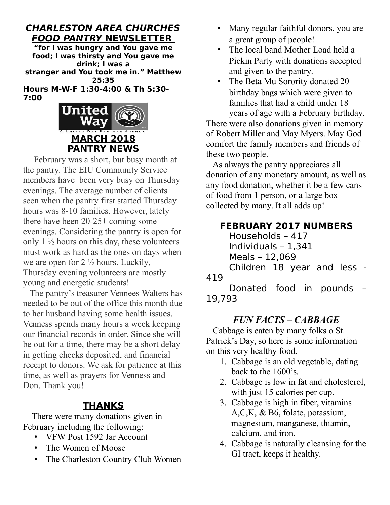## **CHARLESTON AREA CHURCHES FOOD PANTRY NEWSLETTER**

**"for I was hungry and You gave me food; I was thirsty and You gave me drink; I was a stranger and You took me in." Matthew 25:35 Hours M-W-F 1:30-4:00 & Th 5:30-**

**7:00** 



 February was a short, but busy month at the pantry. The EIU Community Service members have been very busy on Thursday evenings. The average number of clients seen when the pantry first started Thursday hours was 8-10 families. However, lately there have been 20-25+ coming some evenings. Considering the pantry is open for only  $1\frac{1}{2}$  hours on this day, these volunteers must work as hard as the ones on days when we are open for  $2 \frac{1}{2}$  hours. Luckily, Thursday evening volunteers are mostly young and energetic students!

 The pantry's treasurer Vennees Walters has needed to be out of the office this month due to her husband having some health issues. Venness spends many hours a week keeping our financial records in order. Since she will be out for a time, there may be a short delay in getting checks deposited, and financial receipt to donors. We ask for patience at this time, as well as prayers for Venness and Don. Thank you!

## **THANKS**

 There were many donations given in February including the following:

- VFW Post 1592 Jar Account
- The Women of Moose
- The Charleston Country Club Women
- Many regular faithful donors, you are a great group of people!
- The local band Mother Load held a Pickin Party with donations accepted and given to the pantry.
- The Beta Mu Sorority donated 20 birthday bags which were given to families that had a child under 18 years of age with a February birthday.

There were also donations given in memory of Robert Miller and May Myers. May God comfort the family members and friends of these two people.

 As always the pantry appreciates all donation of any monetary amount, as well as any food donation, whether it be a few cans of food from 1 person, or a large box collected by many. It all adds up!

## **FEBRUARY 2017 NUMBERS**

Households – 417 Individuals – 1,341

Meals – 12,069

Children 18 year and less - 419

Donated food in pounds – 19,793

## *FUN FACTS – CABBAGE*

 Cabbage is eaten by many folks o St. Patrick's Day, so here is some information on this very healthy food.

- 1. Cabbage is an old vegetable, dating back to the 1600's.
- 2. Cabbage is low in fat and cholesterol, with just 15 calories per cup.
- 3. Cabbage is high in fiber, vitamins A,C,K, & B6, folate, potassium, magnesium, manganese, thiamin, calcium, and iron.
- 4. Cabbage is naturally cleansing for the GI tract, keeps it healthy.